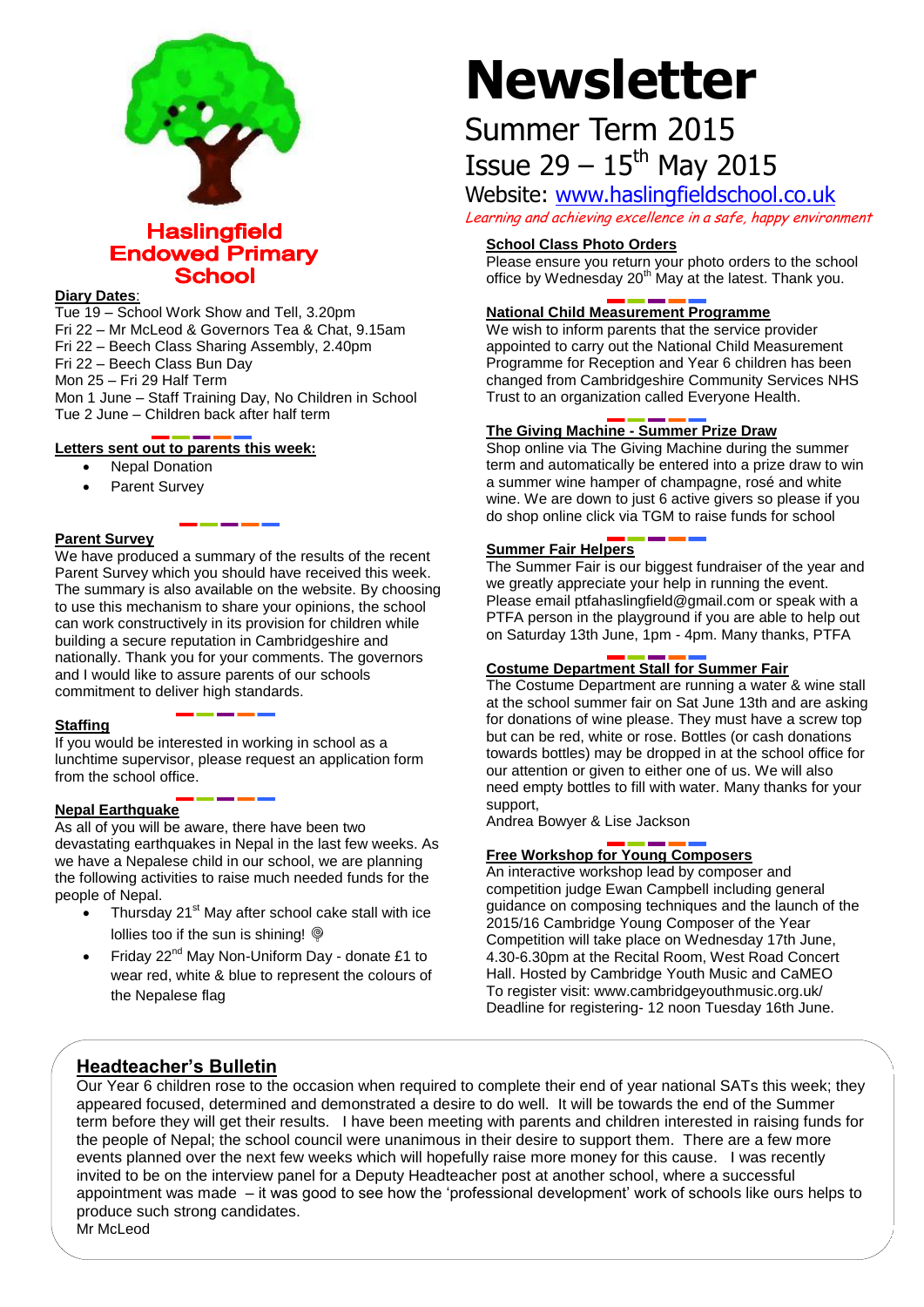

# **Haslingfield Endowed Primary School**

#### **Diary Dates**:

Tue 19 – School Work Show and Tell, 3.20pm Fri 22 – Mr McLeod & Governors Tea & Chat, 9.15am Fri 22 – Beech Class Sharing Assembly, 2.40pm Fri 22 – Beech Class Bun Day Mon 25 – Fri 29 Half Term Mon 1 June – Staff Training Day, No Children in School Tue 2 June – Children back after half term

#### **Letters sent out to parents this week:**

- Nepal Donation
- Parent Survey

#### **Parent Survey**

We have produced a summary of the results of the recent Parent Survey which you should have received this week. The summary is also available on the website. By choosing to use this mechanism to share your opinions, the school can work constructively in its provision for children while building a secure reputation in Cambridgeshire and nationally. Thank you for your comments. The governors and I would like to assure parents of our schools commitment to deliver high standards.

#### **Staffing**

If you would be interested in working in school as a lunchtime supervisor, please request an application form from the school office.

#### **Nepal Earthquake**

As all of you will be aware, there have been two devastating earthquakes in Nepal in the last few weeks. As we have a Nepalese child in our school, we are planning the following activities to raise much needed funds for the people of Nepal.

- Thursday 21<sup>st</sup> May after school cake stall with ice lollies too if the sun is shining!  $@$
- Friday 22<sup>nd</sup> May Non-Uniform Day donate £1 to wear red, white & blue to represent the colours of the Nepalese flag

# **Newsletter**

# Summer Term 2015 Issue  $29 - 15$ <sup>th</sup> May 2015

# Website: [www.haslingfieldschool.co.uk](http://www.haslingfieldschool.co.uk/)

Learning and achieving excellence in a safe, happy environment

## **School Class Photo Orders**

Please ensure you return your photo orders to the school office by Wednesday  $20<sup>th</sup>$  May at the latest. Thank you.

## **National Child Measurement Programme**

We wish to inform parents that the service provider appointed to carry out the National Child Measurement Programme for Reception and Year 6 children has been changed from Cambridgeshire Community Services NHS Trust to an organization called Everyone Health.

# **The Giving Machine - Summer Prize Draw**

Shop online via The Giving Machine during the summer term and automatically be entered into a prize draw to win a summer wine hamper of champagne, rosé and white wine. We are down to just 6 active givers so please if you do shop online click via TGM to raise funds for school

#### **Summer Fair Helpers**

The Summer Fair is our biggest fundraiser of the year and we greatly appreciate your help in running the event. Please email ptfahaslingfield@gmail.com or speak with a PTFA person in the playground if you are able to help out on Saturday 13th June, 1pm - 4pm. Many thanks, PTFA

#### **Costume Department Stall for Summer Fair**

The Costume Department are running a water & wine stall at the school summer fair on Sat June 13th and are asking for donations of wine please. They must have a screw top but can be red, white or rose. Bottles (or cash donations towards bottles) may be dropped in at the school office for our attention or given to either one of us. We will also need empty bottles to fill with water. Many thanks for your support,

Andrea Bowyer & Lise Jackson

#### **Free Workshop for Young Composers**

An interactive workshop lead by composer and competition judge Ewan Campbell including general guidance on composing techniques and the launch of the 2015/16 Cambridge Young Composer of the Year Competition will take place on Wednesday 17th June, 4.30-6.30pm at the Recital Room, West Road Concert Hall. Hosted by Cambridge Youth Music and CaMEO To register visit: www.cambridgeyouthmusic.org.uk/ Deadline for registering- 12 noon Tuesday 16th June.

# **Headteacher's Bulletin**

Our Year 6 children rose to the occasion when required to complete their end of year national SATs this week; they appeared focused, determined and demonstrated a desire to do well. It will be towards the end of the Summer term before they will get their results. I have been meeting with parents and children interested in raising funds for the people of Nepal; the school council were unanimous in their desire to support them. There are a few more events planned over the next few weeks which will hopefully raise more money for this cause. I was recently invited to be on the interview panel for a Deputy Headteacher post at another school, where a successful appointment was made – it was good to see how the 'professional development' work of schools like ours helps to produce such strong candidates.

Mr McLeod